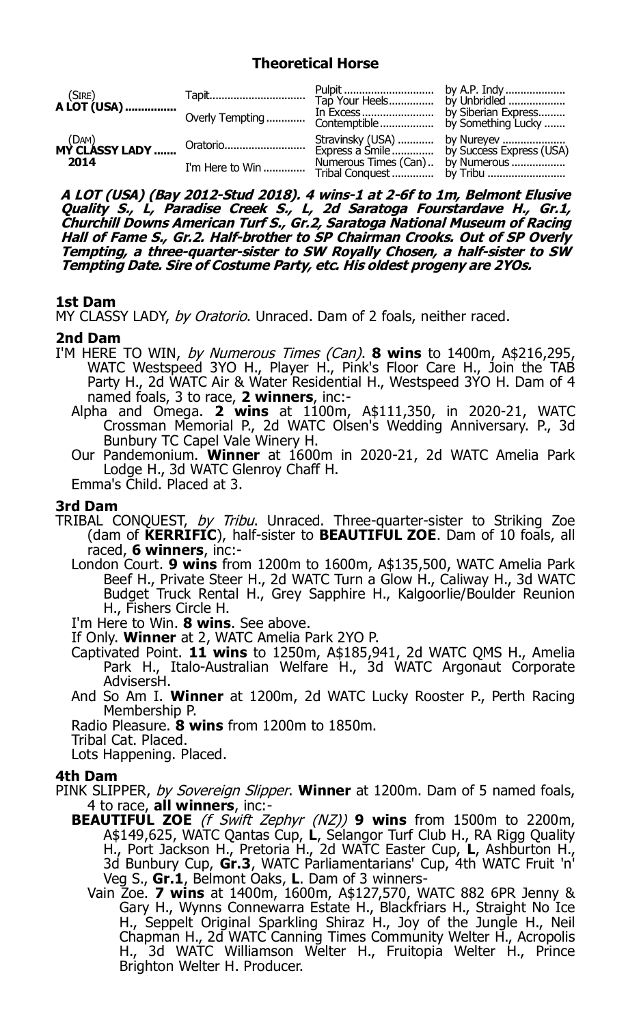# **Theoretical Horse**

| $(SIRE)$<br><b>A LOT (USA)</b> |                                   |  |
|--------------------------------|-----------------------------------|--|
| 2014                           | Numerous Times (Can)  by Numerous |  |

**A LOT (USA) (Bay 2012-Stud 2018). 4 wins-1 at 2-6f to 1m, Belmont Elusive**  Quality S., L, Paradise Creek S., L, 2d Saratoga Fourstardave H., Gr.1,<br>Churchill Downs American Turf S., Gr.2, Saratoga National Museum of Racing<br>Hall of Fame S., Gr.2. Half-brother to SP Chairman Crooks. Out of SP Overly **Tempting, a three-quarter-sister to SW Royally Chosen, a half-sister to SW Tempting Date. Sire of Costume Party, etc. His oldest progeny are 2YOs.**

# **1st Dam**

MY CLASSY LADY, by Oratorio. Unraced. Dam of 2 foals, neither raced.

# **2nd Dam**

- I'M HERE TO WIN, by Numerous Times (Can). **8 wins** to 1400m, A\$216,295, WATC Westspeed 3YO H., Player H., Pink's Floor Care H., Join the TAB Party H., 2d WATC Air & Water Residential H., Westspeed 3YO H. Dam of 4 named foals, 3 to race, **2 winners**, inc:-
	- Alpha and Omega. **2 wins** at 1100m, A\$111,350, in 2020-21, WATC Crossman Memorial P., 2d WATC Olsen's Wedding Anniversary. P., 3d Bunbury TC Capel Vale Winery H.
	- Our Pandemonium. **Winner** at 1600m in 2020-21, 2d WATC Amelia Park Lodge H., 3d WATC Glenroy Chaff H.

Emma's Child. Placed at 3.

### **3rd Dam**

- TRIBAL CONQUEST, by Tribu. Unraced. Three-quarter-sister to Striking Zoe (dam of **KERRIFIC**), half-sister to **BEAUTIFUL ZOE**. Dam of 10 foals, all raced, **6 winners**, inc:-
	- London Court. **9 wins** from 1200m to 1600m, A\$135,500, WATC Amelia Park Beef H., Private Steer H., 2d WATC Turn a Glow H., Caliway H., 3d WATC Budget Truck Rental H., Grey Sapphire H., Kalgoorlie/Boulder Reunion H., Fishers Circle H.

I'm Here to Win. **8 wins**. See above.

If Only. **Winner** at 2, WATC Amelia Park 2YO P.

- Captivated Point. **11 wins** to 1250m, A\$185,941, 2d WATC QMS H., Amelia Park H., Italo-Australian Welfare H., 3d WATC Argonaut Corporate AdvisersH.
- And So Am I. **Winner** at 1200m, 2d WATC Lucky Rooster P., Perth Racing Membership P.
- Radio Pleasure. **8 wins** from 1200m to 1850m.

Tribal Cat. Placed.

Lots Happening. Placed.

# **4th Dam**

- PINK SLIPPER, by Sovereign Slipper. **Winner** at 1200m. Dam of 5 named foals, 4 to race, **all winners**, inc:-
	- **BEAUTIFUL ZOE** (f Swift Zephyr (NZ)) **9 wins** from 1500m to 2200m, A\$149,625, WATC Qantas Cup, **L**, Selangor Turf Club H., RA Rigg Quality H., Port Jackson H., Pretoria H., 2d WATC Easter Cup, L, Ashburton H., 3d Bunbury Cup, **Gr.3**, WATC Parliamentarians' Cup, 4th WATC Fruit 'n' Veg S., **Gr.1**, Belmont Oaks, **L**. Dam of 3 winners-
		- Vain Zoe. **7 wins** at 1400m, 1600m, A\$127,570, WATC 882 6PR Jenny & Gary H., Wynns Connewarra Estate H., Blackfriars H., Straight No Ice H., Seppelt Original Sparkling Shiraz H., Joy of the Jungle H., Neil Chapman H., 2d WATC Canning Times Community Welter H., Acropolis H., 3d WATC Williamson Welter H., Fruitopia Welter H., Prince Brighton Welter H. Producer.